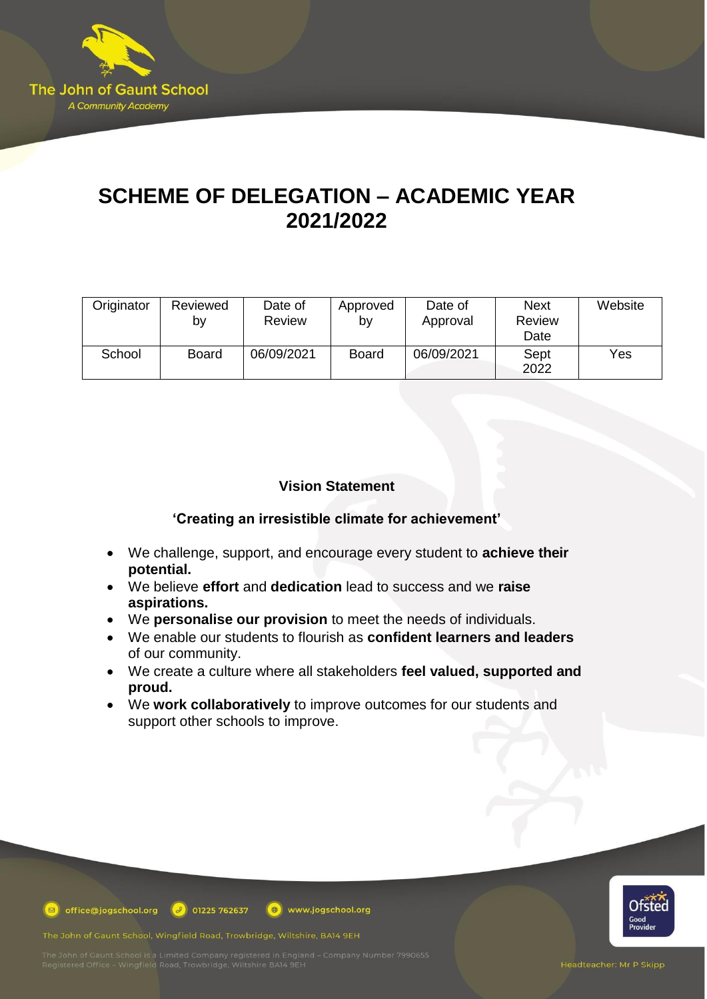

# **SCHEME OF DELEGATION – ACADEMIC YEAR 2021/2022**

| Originator | Reviewed<br>b٧ | Date of<br><b>Review</b> | Approved<br>b٧ | Date of<br>Approval | <b>Next</b><br><b>Review</b><br>Date | Website |
|------------|----------------|--------------------------|----------------|---------------------|--------------------------------------|---------|
| School     | <b>Board</b>   | 06/09/2021               | <b>Board</b>   | 06/09/2021          | Sept<br>2022                         | Yes     |

# **Vision Statement**

## **'Creating an irresistible climate for achievement'**

- We challenge, support, and encourage every student to **achieve their potential.**
- We believe **effort** and **dedication** lead to success and we **raise aspirations.**
- We **personalise our provision** to meet the needs of individuals.
- We enable our students to flourish as **confident learners and leaders** of our community.
- We create a culture where all stakeholders **feel valued, supported and proud.**
- We **work collaboratively** to improve outcomes for our students and support other schools to improve.

www.jogschool.org



**D** office@jogschool.org  $\boxed{\theta}$  01225 762637

The John of Gaunt School, Wingfield Road, Trowbridge, Wiltshire, BA14 9EH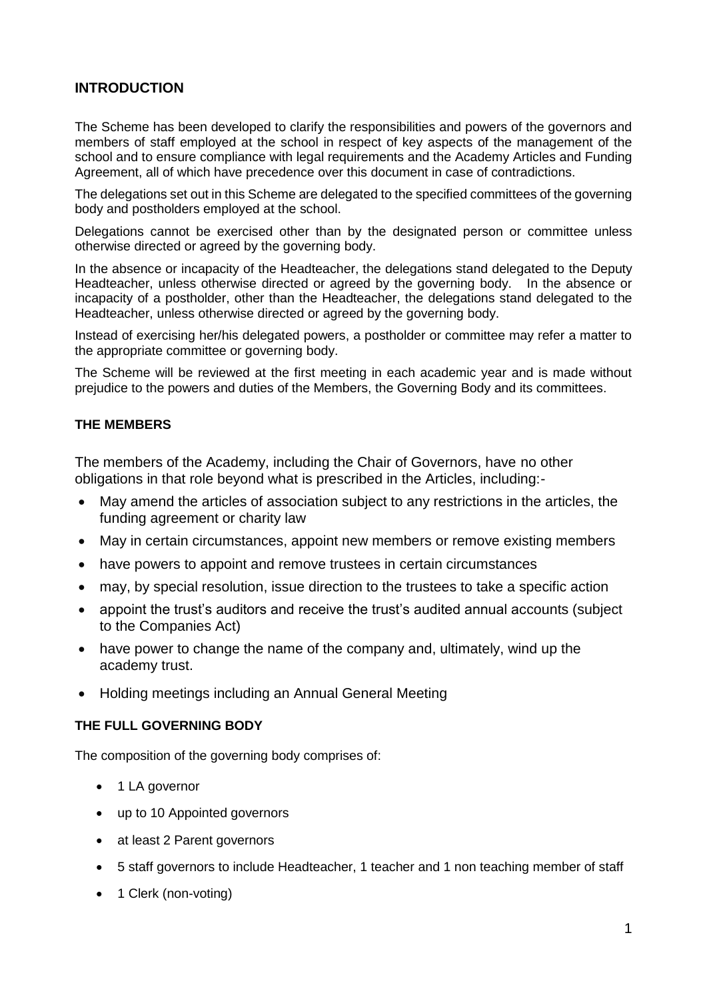# **INTRODUCTION**

The Scheme has been developed to clarify the responsibilities and powers of the governors and members of staff employed at the school in respect of key aspects of the management of the school and to ensure compliance with legal requirements and the Academy Articles and Funding Agreement, all of which have precedence over this document in case of contradictions.

The delegations set out in this Scheme are delegated to the specified committees of the governing body and postholders employed at the school.

Delegations cannot be exercised other than by the designated person or committee unless otherwise directed or agreed by the governing body.

In the absence or incapacity of the Headteacher, the delegations stand delegated to the Deputy Headteacher, unless otherwise directed or agreed by the governing body. In the absence or incapacity of a postholder, other than the Headteacher, the delegations stand delegated to the Headteacher, unless otherwise directed or agreed by the governing body.

Instead of exercising her/his delegated powers, a postholder or committee may refer a matter to the appropriate committee or governing body.

The Scheme will be reviewed at the first meeting in each academic year and is made without prejudice to the powers and duties of the Members, the Governing Body and its committees.

#### **THE MEMBERS**

The members of the Academy, including the Chair of Governors, have no other obligations in that role beyond what is prescribed in the Articles, including:-

- May amend the articles of association subject to any restrictions in the articles, the funding agreement or charity law
- May in certain circumstances, appoint new members or remove existing members
- have powers to appoint and remove trustees in certain circumstances
- may, by special resolution, issue direction to the trustees to take a specific action
- appoint the trust's auditors and receive the trust's audited annual accounts (subject to the Companies Act)
- have power to change the name of the company and, ultimately, wind up the academy trust.
- Holding meetings including an Annual General Meeting

#### **THE FULL GOVERNING BODY**

The composition of the governing body comprises of:

- 1 LA governor
- up to 10 Appointed governors
- at least 2 Parent governors
- 5 staff governors to include Headteacher, 1 teacher and 1 non teaching member of staff
- 1 Clerk (non-voting)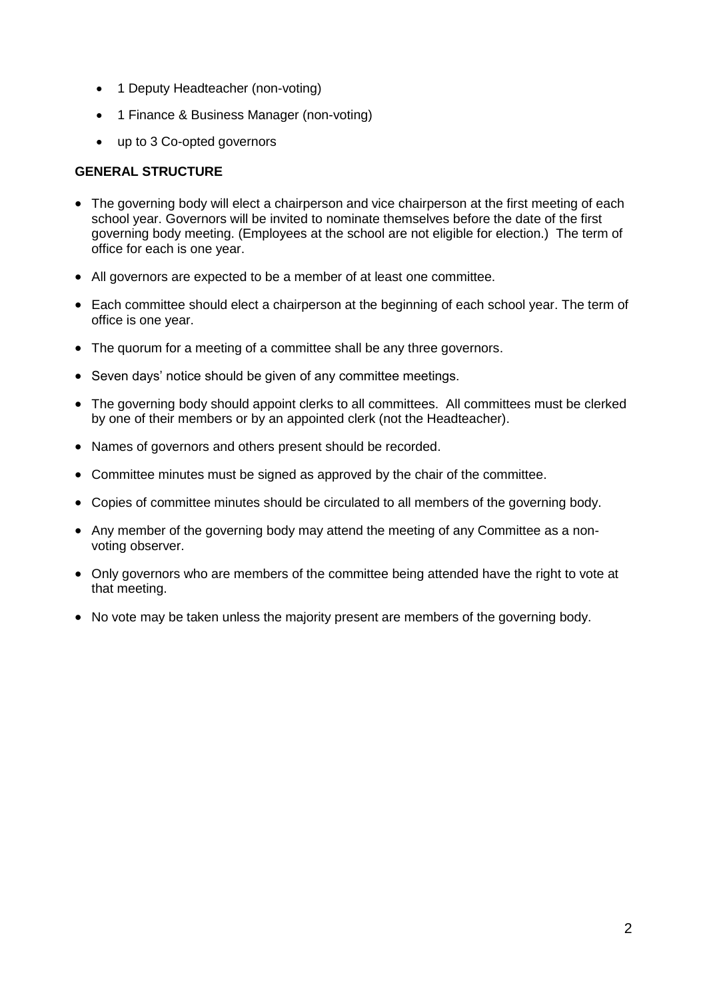- 1 Deputy Headteacher (non-voting)
- 1 Finance & Business Manager (non-voting)
- up to 3 Co-opted governors

## **GENERAL STRUCTURE**

- The governing body will elect a chairperson and vice chairperson at the first meeting of each school year. Governors will be invited to nominate themselves before the date of the first governing body meeting. (Employees at the school are not eligible for election.) The term of office for each is one year.
- All governors are expected to be a member of at least one committee.
- Each committee should elect a chairperson at the beginning of each school year. The term of office is one year.
- The quorum for a meeting of a committee shall be any three governors.
- Seven days' notice should be given of any committee meetings.
- The governing body should appoint clerks to all committees. All committees must be clerked by one of their members or by an appointed clerk (not the Headteacher).
- Names of governors and others present should be recorded.
- Committee minutes must be signed as approved by the chair of the committee.
- Copies of committee minutes should be circulated to all members of the governing body.
- Any member of the governing body may attend the meeting of any Committee as a nonvoting observer.
- Only governors who are members of the committee being attended have the right to vote at that meeting.
- No vote may be taken unless the majority present are members of the governing body.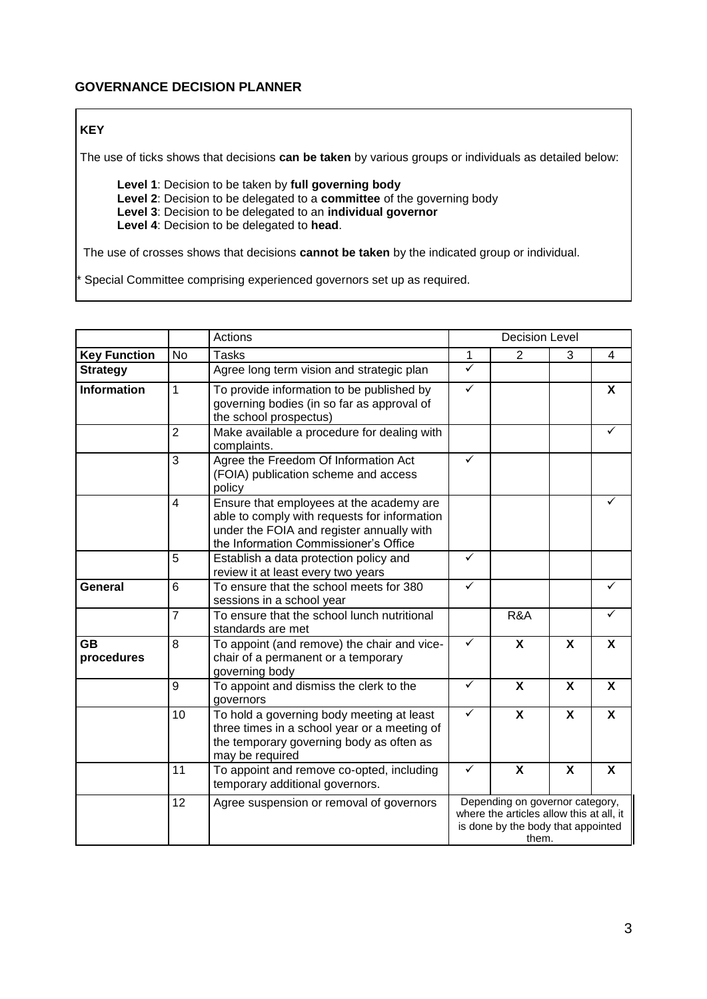# **KEY**

The use of ticks shows that decisions **can be taken** by various groups or individuals as detailed below:

**Level 1**: Decision to be taken by **full governing body Level 2**: Decision to be delegated to a **committee** of the governing body **Level 3**: Decision to be delegated to an **individual governor Level 4**: Decision to be delegated to **head**.

The use of crosses shows that decisions **cannot be taken** by the indicated group or individual.

Special Committee comprising experienced governors set up as required.

|                         |                | Actions                                                                                                                                                                        | <b>Decision Level</b>                                                                                                      |                           |   |                           |
|-------------------------|----------------|--------------------------------------------------------------------------------------------------------------------------------------------------------------------------------|----------------------------------------------------------------------------------------------------------------------------|---------------------------|---|---------------------------|
| <b>Key Function</b>     | <b>No</b>      | <b>Tasks</b>                                                                                                                                                                   | 1                                                                                                                          | 2                         | 3 | 4                         |
| <b>Strategy</b>         |                | Agree long term vision and strategic plan                                                                                                                                      | $\checkmark$                                                                                                               |                           |   |                           |
| <b>Information</b>      | $\mathbf{1}$   | To provide information to be published by<br>governing bodies (in so far as approval of<br>the school prospectus)                                                              | ✓                                                                                                                          |                           |   | X                         |
|                         | $\overline{2}$ | Make available a procedure for dealing with<br>complaints.                                                                                                                     |                                                                                                                            |                           |   |                           |
|                         | 3              | Agree the Freedom Of Information Act<br>(FOIA) publication scheme and access<br>policy                                                                                         | ✓                                                                                                                          |                           |   |                           |
|                         | $\overline{4}$ | Ensure that employees at the academy are<br>able to comply with requests for information<br>under the FOIA and register annually with<br>the Information Commissioner's Office |                                                                                                                            |                           |   | ✓                         |
|                         | 5              | Establish a data protection policy and<br>review it at least every two years                                                                                                   | ✓                                                                                                                          |                           |   |                           |
| General                 | 6              | To ensure that the school meets for 380<br>sessions in a school year                                                                                                           | ✓                                                                                                                          |                           |   | ✓                         |
|                         | $\overline{7}$ | To ensure that the school lunch nutritional<br>standards are met                                                                                                               |                                                                                                                            | R&A                       |   | ✓                         |
| <b>GB</b><br>procedures | 8              | To appoint (and remove) the chair and vice-<br>chair of a permanent or a temporary<br>governing body                                                                           | ✓                                                                                                                          | X                         | X | X                         |
|                         | 9              | To appoint and dismiss the clerk to the<br>governors                                                                                                                           | ✓                                                                                                                          | X                         | X | X                         |
|                         | 10             | To hold a governing body meeting at least<br>three times in a school year or a meeting of<br>the temporary governing body as often as<br>may be required                       | ✓                                                                                                                          | X                         | X | X                         |
|                         | 11             | To appoint and remove co-opted, including<br>temporary additional governors.                                                                                                   | ✓                                                                                                                          | $\boldsymbol{\mathsf{X}}$ | X | $\boldsymbol{\mathsf{X}}$ |
|                         | 12             | Agree suspension or removal of governors                                                                                                                                       | Depending on governor category,<br>where the articles allow this at all, it<br>is done by the body that appointed<br>them. |                           |   |                           |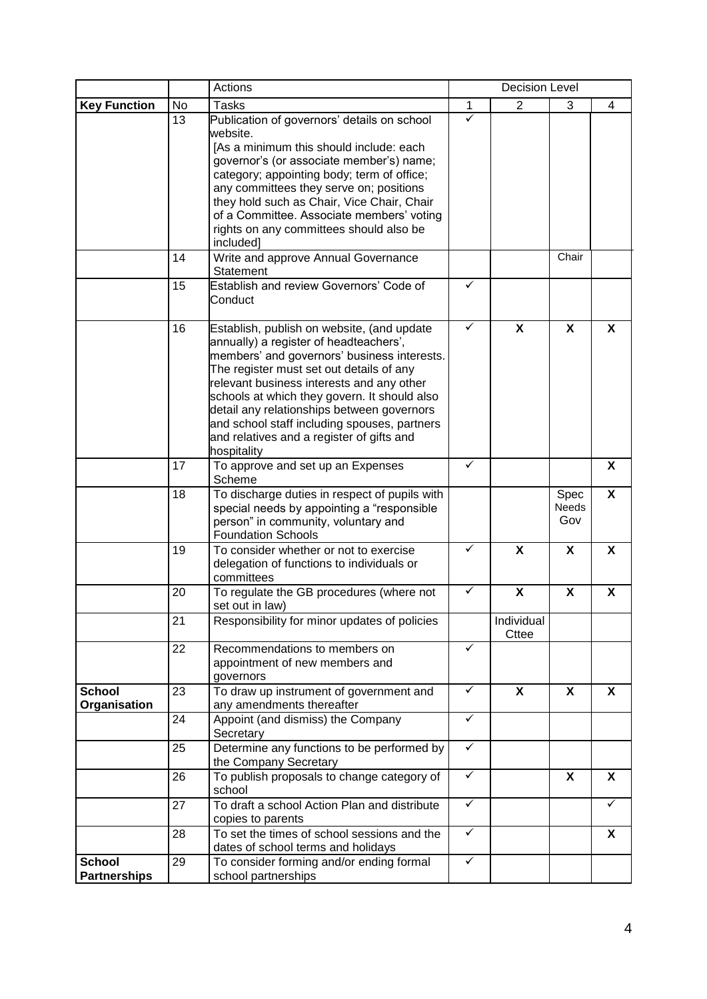|                                      |                | Actions                                                                                                                                                                                                                                                                                                                                                                                                                                                                                              | <b>Decision Level</b> |                     |                      |   |  |
|--------------------------------------|----------------|------------------------------------------------------------------------------------------------------------------------------------------------------------------------------------------------------------------------------------------------------------------------------------------------------------------------------------------------------------------------------------------------------------------------------------------------------------------------------------------------------|-----------------------|---------------------|----------------------|---|--|
| <b>Key Function</b>                  | No             | <b>Tasks</b>                                                                                                                                                                                                                                                                                                                                                                                                                                                                                         | 1                     | 2                   | 3                    | 4 |  |
|                                      | 13<br>14<br>15 | Publication of governors' details on school<br>website.<br>[As a minimum this should include: each<br>governor's (or associate member's) name;<br>category; appointing body; term of office;<br>any committees they serve on; positions<br>they hold such as Chair, Vice Chair, Chair<br>of a Committee. Associate members' voting<br>rights on any committees should also be<br>included]<br>Write and approve Annual Governance<br>Statement<br>Establish and review Governors' Code of<br>Conduct | ✓<br>✓                |                     | Chair                |   |  |
|                                      | 16             | Establish, publish on website, (and update<br>annually) a register of headteachers',<br>members' and governors' business interests.<br>The register must set out details of any<br>relevant business interests and any other<br>schools at which they govern. It should also<br>detail any relationships between governors<br>and school staff including spouses, partners<br>and relatives and a register of gifts and<br>hospitality                                                               | ✓                     | X                   | $\mathsf{x}$         | X |  |
|                                      | 17             | To approve and set up an Expenses<br>Scheme                                                                                                                                                                                                                                                                                                                                                                                                                                                          | ✓                     |                     |                      | X |  |
|                                      | 18             | To discharge duties in respect of pupils with<br>special needs by appointing a "responsible<br>person" in community, voluntary and<br><b>Foundation Schools</b>                                                                                                                                                                                                                                                                                                                                      |                       |                     | Spec<br>Needs<br>Gov | X |  |
|                                      | 19             | To consider whether or not to exercise<br>delegation of functions to individuals or<br>committees                                                                                                                                                                                                                                                                                                                                                                                                    | ✓                     | X                   | X                    | X |  |
|                                      | 20             | To regulate the GB procedures (where not<br>set out in law)                                                                                                                                                                                                                                                                                                                                                                                                                                          | ✓                     | X                   | X                    | X |  |
|                                      | 21             | Responsibility for minor updates of policies                                                                                                                                                                                                                                                                                                                                                                                                                                                         |                       | Individual<br>Cttee |                      |   |  |
|                                      | 22             | Recommendations to members on<br>appointment of new members and<br>governors                                                                                                                                                                                                                                                                                                                                                                                                                         | ✓                     |                     |                      |   |  |
| <b>School</b><br><b>Organisation</b> | 23             | To draw up instrument of government and<br>any amendments thereafter                                                                                                                                                                                                                                                                                                                                                                                                                                 | ✓                     | X                   | X                    | X |  |
|                                      | 24             | Appoint (and dismiss) the Company<br>Secretary                                                                                                                                                                                                                                                                                                                                                                                                                                                       | ✓                     |                     |                      |   |  |
|                                      | 25             | Determine any functions to be performed by<br>the Company Secretary                                                                                                                                                                                                                                                                                                                                                                                                                                  | $\checkmark$          |                     |                      |   |  |
|                                      | 26             | To publish proposals to change category of<br>school                                                                                                                                                                                                                                                                                                                                                                                                                                                 | $\checkmark$          |                     | X                    | X |  |
|                                      | 27             | To draft a school Action Plan and distribute<br>copies to parents                                                                                                                                                                                                                                                                                                                                                                                                                                    | $\checkmark$          |                     |                      | ✓ |  |
|                                      | 28             | To set the times of school sessions and the<br>dates of school terms and holidays                                                                                                                                                                                                                                                                                                                                                                                                                    | ✓                     |                     |                      | X |  |
| <b>School</b><br><b>Partnerships</b> | 29             | To consider forming and/or ending formal<br>school partnerships                                                                                                                                                                                                                                                                                                                                                                                                                                      | ✓                     |                     |                      |   |  |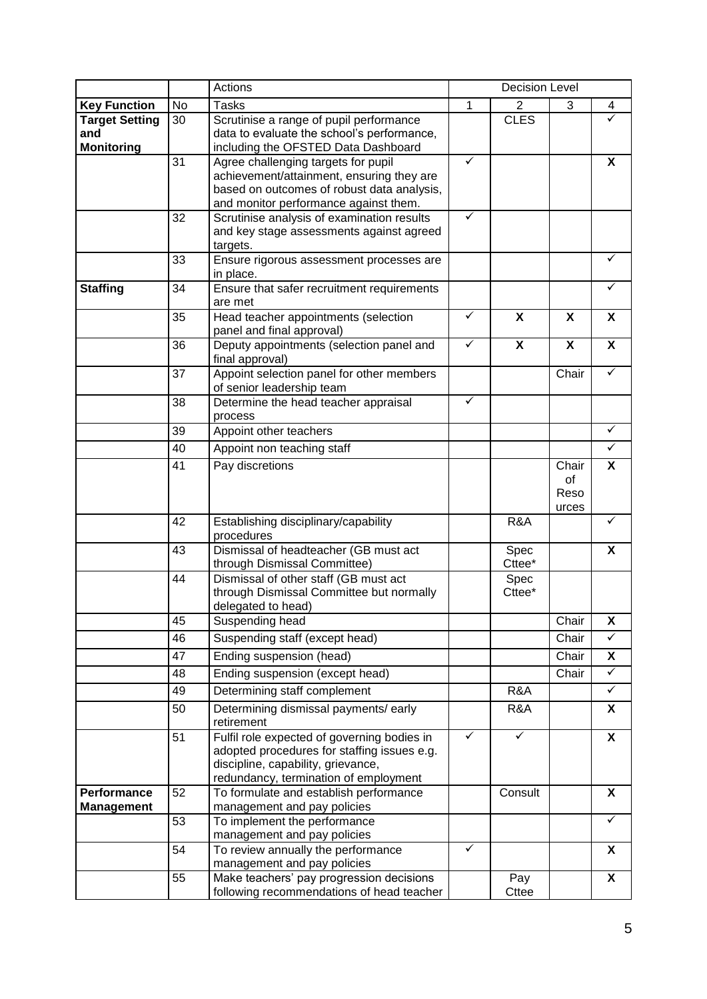|                                                   |    | Actions                                                                                                                                                                   | <b>Decision Level</b> |                           |                              |                           |
|---------------------------------------------------|----|---------------------------------------------------------------------------------------------------------------------------------------------------------------------------|-----------------------|---------------------------|------------------------------|---------------------------|
| <b>Key Function</b>                               | No | <b>Tasks</b>                                                                                                                                                              | 1                     | $\overline{2}$            | 3                            | 4                         |
| <b>Target Setting</b><br>and<br><b>Monitoring</b> | 30 | Scrutinise a range of pupil performance<br>data to evaluate the school's performance,<br>including the OFSTED Data Dashboard                                              |                       | <b>CLES</b>               |                              |                           |
|                                                   | 31 | Agree challenging targets for pupil<br>achievement/attainment, ensuring they are<br>based on outcomes of robust data analysis,<br>and monitor performance against them.   | $\checkmark$          |                           |                              | X                         |
|                                                   | 32 | Scrutinise analysis of examination results<br>and key stage assessments against agreed<br>targets.                                                                        | ✓                     |                           |                              |                           |
|                                                   | 33 | Ensure rigorous assessment processes are<br>in place.                                                                                                                     |                       |                           |                              | ✓                         |
| <b>Staffing</b>                                   | 34 | Ensure that safer recruitment requirements<br>are met                                                                                                                     |                       |                           |                              | ✓                         |
|                                                   | 35 | Head teacher appointments (selection<br>panel and final approval)                                                                                                         | $\checkmark$          | X                         | X                            | X                         |
|                                                   | 36 | Deputy appointments (selection panel and<br>final approval)                                                                                                               | $\checkmark$          | $\boldsymbol{\mathsf{X}}$ | X                            | $\mathbf x$               |
|                                                   | 37 | Appoint selection panel for other members<br>of senior leadership team                                                                                                    |                       |                           | Chair                        | $\checkmark$              |
|                                                   | 38 | Determine the head teacher appraisal<br>process                                                                                                                           | $\checkmark$          |                           |                              |                           |
|                                                   | 39 | Appoint other teachers                                                                                                                                                    |                       |                           |                              | $\checkmark$              |
|                                                   | 40 | Appoint non teaching staff                                                                                                                                                |                       |                           |                              | $\checkmark$              |
|                                                   | 41 | Pay discretions                                                                                                                                                           |                       |                           | Chair<br>of<br>Reso<br>urces | X                         |
|                                                   | 42 | Establishing disciplinary/capability<br>procedures                                                                                                                        |                       | R&A                       |                              | ✓                         |
|                                                   | 43 | Dismissal of headteacher (GB must act<br>through Dismissal Committee)                                                                                                     |                       | Spec<br>Cttee*            |                              | X                         |
|                                                   | 44 | Dismissal of other staff (GB must act<br>through Dismissal Committee but normally<br>delegated to head)                                                                   |                       | Spec<br>Cttee*            |                              |                           |
|                                                   | 45 | Suspending head                                                                                                                                                           |                       |                           | Chair                        | X                         |
|                                                   | 46 | Suspending staff (except head)                                                                                                                                            |                       |                           | Chair                        | $\checkmark$              |
|                                                   | 47 | Ending suspension (head)                                                                                                                                                  |                       |                           | Chair                        | X                         |
|                                                   | 48 | Ending suspension (except head)                                                                                                                                           |                       |                           | Chair                        | $\checkmark$              |
|                                                   | 49 | Determining staff complement                                                                                                                                              |                       | R&A                       |                              | $\checkmark$              |
|                                                   | 50 | Determining dismissal payments/ early<br>retirement                                                                                                                       |                       | R&A                       |                              | X                         |
|                                                   | 51 | Fulfil role expected of governing bodies in<br>adopted procedures for staffing issues e.g.<br>discipline, capability, grievance,<br>redundancy, termination of employment | ✓                     | ✓                         |                              | $\boldsymbol{\mathsf{X}}$ |
| Performance<br><b>Management</b>                  | 52 | To formulate and establish performance<br>management and pay policies                                                                                                     |                       | Consult                   |                              | X                         |
|                                                   | 53 | To implement the performance<br>management and pay policies                                                                                                               |                       |                           |                              | ✓                         |
|                                                   | 54 | To review annually the performance<br>management and pay policies                                                                                                         | ✓                     |                           |                              | X                         |
|                                                   | 55 | Make teachers' pay progression decisions<br>following recommendations of head teacher                                                                                     |                       | Pay<br>Cttee              |                              | X                         |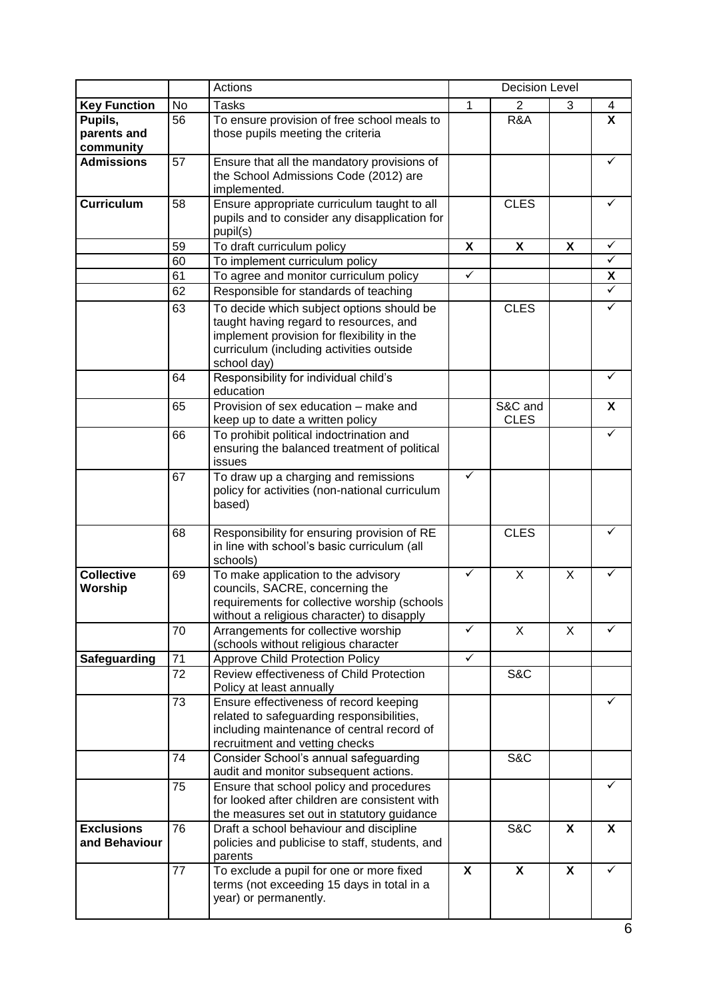|                                     |    | Actions                                                                                                                                                                                      | <b>Decision Level</b> |                        |   |              |
|-------------------------------------|----|----------------------------------------------------------------------------------------------------------------------------------------------------------------------------------------------|-----------------------|------------------------|---|--------------|
| <b>Key Function</b>                 | No | <b>Tasks</b>                                                                                                                                                                                 | $\mathbf{1}$          | $\overline{2}$         | 3 | 4            |
| Pupils,<br>parents and<br>community | 56 | To ensure provision of free school meals to<br>those pupils meeting the criteria                                                                                                             |                       | R&A                    |   | X            |
| <b>Admissions</b>                   | 57 | Ensure that all the mandatory provisions of<br>the School Admissions Code (2012) are<br>implemented.                                                                                         |                       |                        |   | ✓            |
| <b>Curriculum</b>                   | 58 | Ensure appropriate curriculum taught to all<br>pupils and to consider any disapplication for<br>pupil(s)                                                                                     |                       | <b>CLES</b>            |   | ✓            |
|                                     | 59 | To draft curriculum policy                                                                                                                                                                   | X                     | X                      | X | ✓            |
|                                     | 60 | To implement curriculum policy                                                                                                                                                               |                       |                        |   | $\checkmark$ |
|                                     | 61 | To agree and monitor curriculum policy                                                                                                                                                       | $\checkmark$          |                        |   | X            |
|                                     | 62 | Responsible for standards of teaching                                                                                                                                                        |                       |                        |   | $\checkmark$ |
|                                     | 63 | To decide which subject options should be<br>taught having regard to resources, and<br>implement provision for flexibility in the<br>curriculum (including activities outside<br>school day) |                       | <b>CLES</b>            |   | ✓            |
|                                     | 64 | Responsibility for individual child's<br>education                                                                                                                                           |                       |                        |   | ✓            |
|                                     | 65 | Provision of sex education - make and<br>keep up to date a written policy                                                                                                                    |                       | S&C and<br><b>CLES</b> |   | X            |
|                                     | 66 | To prohibit political indoctrination and<br>ensuring the balanced treatment of political<br>issues                                                                                           |                       |                        |   |              |
|                                     | 67 | To draw up a charging and remissions<br>policy for activities (non-national curriculum<br>based)                                                                                             | ✓                     |                        |   |              |
|                                     | 68 | Responsibility for ensuring provision of RE<br>in line with school's basic curriculum (all<br>schools)                                                                                       |                       | <b>CLES</b>            |   |              |
| <b>Collective</b><br>Worship        | 69 | To make application to the advisory<br>councils, SACRE, concerning the<br>requirements for collective worship (schools<br>without a religious character) to disapply                         | ✓                     | X                      | X |              |
|                                     | 70 | Arrangements for collective worship<br>(schools without religious character                                                                                                                  | ✓                     | X                      | X | ✓            |
| Safeguarding                        | 71 | <b>Approve Child Protection Policy</b>                                                                                                                                                       | $\checkmark$          |                        |   |              |
|                                     | 72 | Review effectiveness of Child Protection<br>Policy at least annually                                                                                                                         |                       | S&C                    |   |              |
|                                     | 73 | Ensure effectiveness of record keeping<br>related to safeguarding responsibilities,<br>including maintenance of central record of<br>recruitment and vetting checks                          |                       |                        |   | ✓            |
|                                     | 74 | Consider School's annual safeguarding<br>audit and monitor subsequent actions.                                                                                                               |                       | S&C                    |   |              |
|                                     | 75 | Ensure that school policy and procedures<br>for looked after children are consistent with<br>the measures set out in statutory guidance                                                      |                       |                        |   |              |
| <b>Exclusions</b><br>and Behaviour  | 76 | Draft a school behaviour and discipline<br>policies and publicise to staff, students, and<br>parents                                                                                         |                       | S&C                    | X | X            |
|                                     | 77 | To exclude a pupil for one or more fixed<br>terms (not exceeding 15 days in total in a<br>year) or permanently.                                                                              | X                     | X                      | X |              |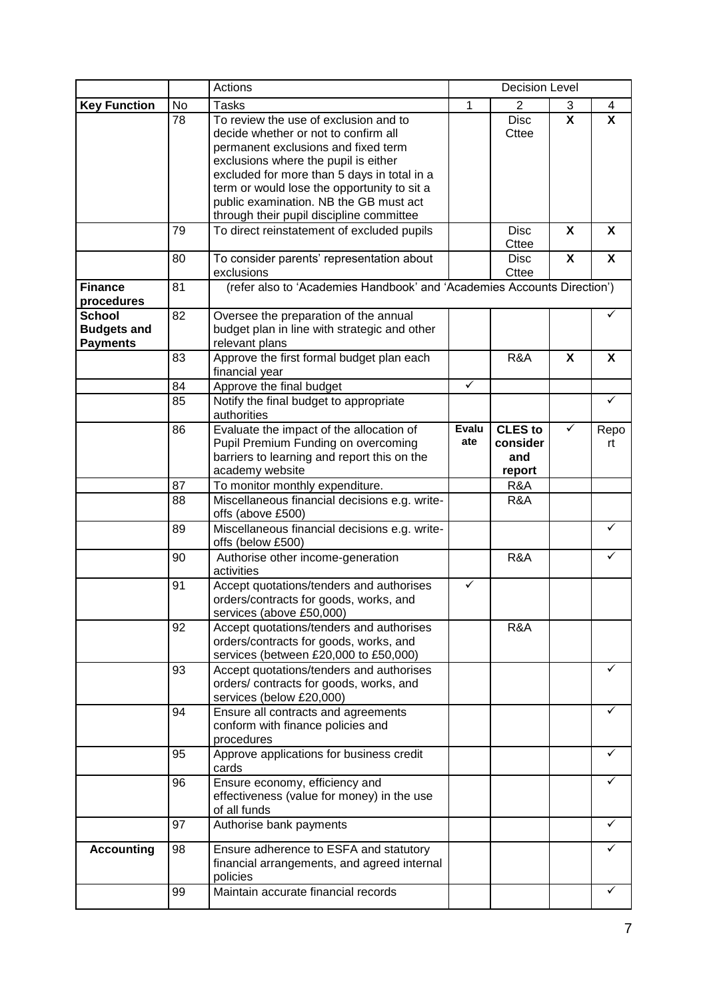|                                                        |    | Actions                                                                                                                                                                                                                                                                                                                                          | <b>Decision Level</b> |                                             |   |                           |
|--------------------------------------------------------|----|--------------------------------------------------------------------------------------------------------------------------------------------------------------------------------------------------------------------------------------------------------------------------------------------------------------------------------------------------|-----------------------|---------------------------------------------|---|---------------------------|
| <b>Key Function</b>                                    | No | <b>Tasks</b>                                                                                                                                                                                                                                                                                                                                     | 1                     | 2                                           | 3 | 4                         |
|                                                        | 78 | To review the use of exclusion and to<br>decide whether or not to confirm all<br>permanent exclusions and fixed term<br>exclusions where the pupil is either<br>excluded for more than 5 days in total in a<br>term or would lose the opportunity to sit a<br>public examination. NB the GB must act<br>through their pupil discipline committee |                       | <b>Disc</b><br>Cttee                        | X | $\boldsymbol{\mathsf{x}}$ |
|                                                        | 79 | To direct reinstatement of excluded pupils                                                                                                                                                                                                                                                                                                       |                       | <b>Disc</b><br>Cttee                        | X | X                         |
|                                                        | 80 | To consider parents' representation about<br>exclusions                                                                                                                                                                                                                                                                                          |                       | <b>Disc</b><br><b>Cttee</b>                 | X | X                         |
| <b>Finance</b><br>procedures                           | 81 | (refer also to 'Academies Handbook' and 'Academies Accounts Direction')                                                                                                                                                                                                                                                                          |                       |                                             |   |                           |
| <b>School</b><br><b>Budgets and</b><br><b>Payments</b> | 82 | Oversee the preparation of the annual<br>budget plan in line with strategic and other<br>relevant plans                                                                                                                                                                                                                                          |                       |                                             |   |                           |
|                                                        | 83 | Approve the first formal budget plan each<br>financial year                                                                                                                                                                                                                                                                                      |                       | R&A                                         | X | X                         |
|                                                        | 84 | Approve the final budget                                                                                                                                                                                                                                                                                                                         | $\checkmark$          |                                             |   |                           |
|                                                        | 85 | Notify the final budget to appropriate<br>authorities                                                                                                                                                                                                                                                                                            |                       |                                             |   | ✓                         |
|                                                        | 86 | Evaluate the impact of the allocation of<br>Pupil Premium Funding on overcoming<br>barriers to learning and report this on the<br>academy website                                                                                                                                                                                                | <b>Evalu</b><br>ate   | <b>CLES</b> to<br>consider<br>and<br>report | ✓ | Repo<br>rt                |
|                                                        | 87 | To monitor monthly expenditure.                                                                                                                                                                                                                                                                                                                  |                       | R&A                                         |   |                           |
|                                                        | 88 | Miscellaneous financial decisions e.g. write-<br>offs (above £500)                                                                                                                                                                                                                                                                               |                       | R&A                                         |   |                           |
|                                                        | 89 | Miscellaneous financial decisions e.g. write-<br>offs (below £500)                                                                                                                                                                                                                                                                               |                       |                                             |   | ✓                         |
|                                                        | 90 | Authorise other income-generation<br>activities                                                                                                                                                                                                                                                                                                  |                       | R&A                                         |   | ✓                         |
|                                                        | 91 | Accept quotations/tenders and authorises<br>orders/contracts for goods, works, and<br>services (above £50,000)                                                                                                                                                                                                                                   | ✓                     |                                             |   |                           |
|                                                        | 92 | Accept quotations/tenders and authorises<br>orders/contracts for goods, works, and<br>services (between £20,000 to £50,000)                                                                                                                                                                                                                      |                       | R&A                                         |   |                           |
|                                                        | 93 | Accept quotations/tenders and authorises<br>orders/contracts for goods, works, and<br>services (below £20,000)                                                                                                                                                                                                                                   |                       |                                             |   |                           |
|                                                        | 94 | Ensure all contracts and agreements<br>conform with finance policies and<br>procedures                                                                                                                                                                                                                                                           |                       |                                             |   |                           |
|                                                        | 95 | Approve applications for business credit<br>cards                                                                                                                                                                                                                                                                                                |                       |                                             |   | ✓                         |
|                                                        | 96 | Ensure economy, efficiency and<br>effectiveness (value for money) in the use<br>of all funds                                                                                                                                                                                                                                                     |                       |                                             |   | ✓                         |
|                                                        | 97 | Authorise bank payments                                                                                                                                                                                                                                                                                                                          |                       |                                             |   | ✓                         |
| <b>Accounting</b>                                      | 98 | Ensure adherence to ESFA and statutory<br>financial arrangements, and agreed internal<br>policies                                                                                                                                                                                                                                                |                       |                                             |   |                           |
|                                                        | 99 | Maintain accurate financial records                                                                                                                                                                                                                                                                                                              |                       |                                             |   |                           |